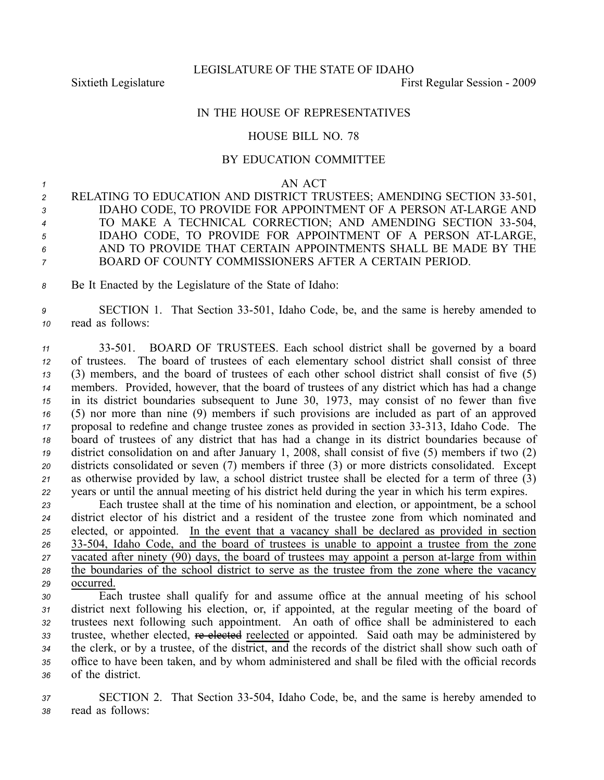## IN THE HOUSE OF REPRESENTATIVES

## HOUSE BILL NO. 78

## BY EDUCATION COMMITTEE

*<sup>1</sup>* AN ACT

 RELATING TO EDUCATION AND DISTRICT TRUSTEES; AMENDING SECTION 33-501, IDAHO CODE, TO PROVIDE FOR APPOINTMENT OF A PERSON ATLARGE AND <sup>4</sup> TO MAKE A TECHNICAL CORRECTION; AND AMENDING SECTION 33-504, IDAHO CODE, TO PROVIDE FOR APPOINTMENT OF A PERSON ATLARGE, AND TO PROVIDE THAT CERTAIN APPOINTMENTS SHALL BE MADE BY THE BOARD OF COUNTY COMMISSIONERS AFTER A CERTAIN PERIOD.

*<sup>8</sup>* Be It Enacted by the Legislature of the State of Idaho:

*<sup>9</sup>* SECTION 1. That Section 33501, Idaho Code, be, and the same is hereby amended to *<sup>10</sup>* read as follows:

 33501. BOARD OF TRUSTEES. Each school district shall be governed by <sup>a</sup> board of trustees. The board of trustees of each elementary school district shall consist of three (3) members, and the board of trustees of each other school district shall consist of five (5) members. Provided, however, that the board of trustees of any district which has had <sup>a</sup> change in its district boundaries subsequent to June 30, 1973, may consist of no fewer than five (5) nor more than nine (9) members if such provisions are included as par<sup>t</sup> of an approved proposal to redefine and change trustee zones as provided in section 33313, Idaho Code. The board of trustees of any district that has had <sup>a</sup> change in its district boundaries because of district consolidation on and after January 1, 2008, shall consist of five (5) members if two (2) districts consolidated or seven (7) members if three (3) or more districts consolidated. Except as otherwise provided by law, <sup>a</sup> school district trustee shall be elected for <sup>a</sup> term of three (3) years or until the annual meeting of his district held during the year in which his term expires.

 Each trustee shall at the time of his nomination and election, or appointment, be <sup>a</sup> school district elector of his district and <sup>a</sup> resident of the trustee zone from which nominated and elected, or appointed. In the event that <sup>a</sup> vacancy shall be declared as provided in section 26 33-504, Idaho Code, and the board of trustees is unable to appoint a trustee from the zone vacated after ninety (90) days, the board of trustees may appoint <sup>a</sup> person atlarge from within the boundaries of the school district to serve as the trustee from the zone where the vacancy occurred.

 Each trustee shall qualify for and assume office at the annual meeting of his school district next following his election, or, if appointed, at the regular meeting of the board of trustees next following such appointment. An oath of office shall be administered to each 33 trustee, whether elected, reelected reelected or appointed. Said oath may be administered by the clerk, or by <sup>a</sup> trustee, of the district, and the records of the district shall show such oath of office to have been taken, and by whom administered and shall be filed with the official records of the district.

*<sup>37</sup>* SECTION 2. That Section 33504, Idaho Code, be, and the same is hereby amended to *<sup>38</sup>* read as follows: